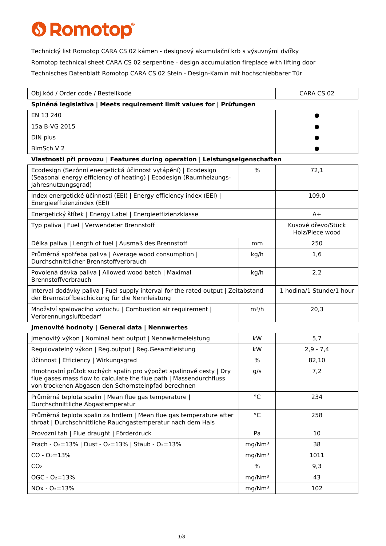## **6 Romotop®**

Technický list Romotop CARA CS 02 kámen - designový akumulační krb s výsuvnými dvířky Romotop technical sheet CARA CS 02 serpentine - design accumulation fireplace with lifting door Technisches Datenblatt Romotop CARA CS 02 Stein - Design-Kamin mit hochschiebbarer Tür

| Obj.kód / Order code / Bestellkode                                                                                                                                                              |                    | CARA CS 02                            |  |
|-------------------------------------------------------------------------------------------------------------------------------------------------------------------------------------------------|--------------------|---------------------------------------|--|
| Splněná legislativa   Meets requirement limit values for   Prüfungen                                                                                                                            |                    |                                       |  |
| EN 13 240                                                                                                                                                                                       |                    |                                       |  |
| 15a B-VG 2015                                                                                                                                                                                   |                    |                                       |  |
| DIN plus                                                                                                                                                                                        |                    |                                       |  |
| BlmSch V 2                                                                                                                                                                                      |                    |                                       |  |
| Vlastnosti při provozu   Features during operation   Leistungseigenschaften                                                                                                                     |                    |                                       |  |
| Ecodesign (Sezónní energetická účinnost vytápění)   Ecodesign<br>(Seasonal energy efficiency of heating)   Ecodesign (Raumheizungs-<br>Jahresnutzungsgrad)                                      | $\frac{0}{0}$      | 72,1                                  |  |
| Index energetické účinnosti (EEI)   Energy efficiency index (EEI)  <br>Energieeffizienzindex (EEI)                                                                                              |                    | 109,0                                 |  |
| Energetický štítek   Energy Label   Energieeffizienzklasse                                                                                                                                      |                    | $A+$                                  |  |
| Typ paliva   Fuel   Verwendeter Brennstoff                                                                                                                                                      |                    | Kusové dřevo/Stück<br>Holz/Piece wood |  |
| Délka paliva   Length of fuel   Ausmaß des Brennstoff                                                                                                                                           | mm                 | 250                                   |  |
| Průměrná spotřeba paliva   Average wood consumption  <br>Durchschnittlicher Brennstoffverbrauch                                                                                                 | kg/h               | 1,6                                   |  |
| Povolená dávka paliva   Allowed wood batch   Maximal<br>Brennstoffverbrauch                                                                                                                     | kg/h               | 2,2                                   |  |
| Interval dodávky paliva   Fuel supply interval for the rated output   Zeitabstand<br>der Brennstoffbeschickung für die Nennleistung                                                             |                    | 1 hodina/1 Stunde/1 hour              |  |
| Množství spalovacího vzduchu   Combustion air requirement  <br>Verbrennungsluftbedarf                                                                                                           | $m^3/h$            | 20,3                                  |  |
| Jmenovité hodnoty   General data   Nennwertes                                                                                                                                                   |                    |                                       |  |
| Jmenovitý výkon   Nominal heat output   Nennwärmeleistung                                                                                                                                       | kW                 | 5,7                                   |  |
| Regulovatelný výkon   Reg.output   Reg.Gesamtleistung                                                                                                                                           | kW                 | $2,9 - 7,4$                           |  |
| Účinnost   Efficiency   Wirkungsgrad                                                                                                                                                            | $\%$               | 82,10                                 |  |
| Hmotnostní průtok suchých spalin pro výpočet spalinové cesty   Dry<br>flue gases mass flow to calculate the flue path   Massendurchfluss<br>von trockenen Abgasen den Schornsteinpfad berechnen | g/s                | 7,2                                   |  |
| Průměrná teplota spalin   Mean flue gas temperature  <br>Durchschnittliche Abgastemperatur                                                                                                      | °C                 | 234                                   |  |
| Průměrná teplota spalin za hrdlem   Mean flue gas temperature after<br>throat   Durchschnittliche Rauchgastemperatur nach dem Hals                                                              | $^{\circ}$ C       | 258                                   |  |
| Provozní tah   Flue draught   Förderdruck                                                                                                                                                       | Pa                 | 10                                    |  |
| Prach - O <sub>2</sub> =13%   Dust - O <sub>2</sub> =13%   Staub - O <sub>2</sub> =13%                                                                                                          | mg/Nm <sup>3</sup> | 38                                    |  |
| $CO - O_2 = 13%$                                                                                                                                                                                | mg/Nm <sup>3</sup> | 1011                                  |  |
| CO <sub>2</sub>                                                                                                                                                                                 | $\%$               | 9,3                                   |  |
| $OGC - O2=13%$                                                                                                                                                                                  | mg/Nm <sup>3</sup> | 43                                    |  |
| $NOx - O_2 = 13%$                                                                                                                                                                               | mg/Nm <sup>3</sup> | 102                                   |  |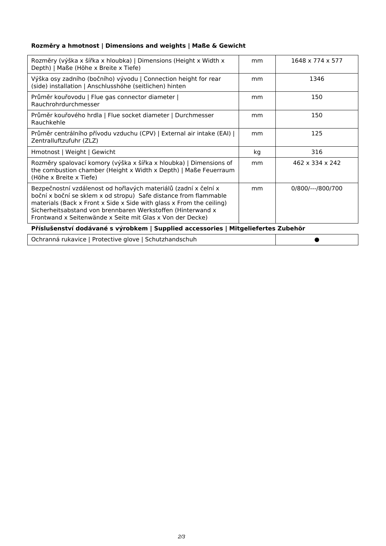## **Rozměry a hmotnost | Dimensions and weights | Maße & Gewicht**

| Rozměry (výška x šířka x hloubka)   Dimensions (Height x Width x<br>Depth)   Maße (Höhe x Breite x Tiefe)                                                                                                                                                                                                                                       | mm | 1648 x 774 x 577            |  |
|-------------------------------------------------------------------------------------------------------------------------------------------------------------------------------------------------------------------------------------------------------------------------------------------------------------------------------------------------|----|-----------------------------|--|
| Výška osy zadního (bočního) vývodu   Connection height for rear<br>(side) installation   Anschlusshöhe (seitlichen) hinten                                                                                                                                                                                                                      | mm | 1346                        |  |
| Průměr kouřovodu   Flue gas connector diameter  <br>Rauchrohrdurchmesser                                                                                                                                                                                                                                                                        | mm | 150                         |  |
| Průměr kouřového hrdla   Flue socket diameter   Durchmesser<br>Rauchkehle                                                                                                                                                                                                                                                                       | mm | 150                         |  |
| Průměr centrálního přívodu vzduchu (CPV)   External air intake (EAI)  <br>Zentralluftzufuhr (ZLZ)                                                                                                                                                                                                                                               | mm | 125                         |  |
| Hmotnost   Weight   Gewicht                                                                                                                                                                                                                                                                                                                     | kg | 316                         |  |
| Rozměry spalovací komory (výška x šířka x hloubka)   Dimensions of<br>the combustion chamber (Height x Width x Depth)   Maße Feuerraum<br>(Höhe x Breite x Tiefe)                                                                                                                                                                               | mm | $462 \times 334 \times 242$ |  |
| Bezpečnostní vzdálenost od hořlavých materiálů (zadní x čelní x<br>boční x boční se sklem x od stropu) Safe distance from flammable<br>materials (Back $x$ Front $x$ Side $x$ Side with glass $x$ From the ceiling)<br>Sicherheitsabstand von brennbaren Werkstoffen (Hinterwand x<br>Frontwand x Seitenwände x Seite mit Glas x Von der Decke) | mm | 0/800/---/800/700           |  |
| Příslušenství dodávané s výrobkem   Supplied accessories   Mitgeliefertes Zubehör                                                                                                                                                                                                                                                               |    |                             |  |
| Ochranná rukavice   Protective glove   Schutzbandschuh                                                                                                                                                                                                                                                                                          |    |                             |  |

Ochranná rukavice | Protective glove | Schutzhandschuh → Browner → Protective ●